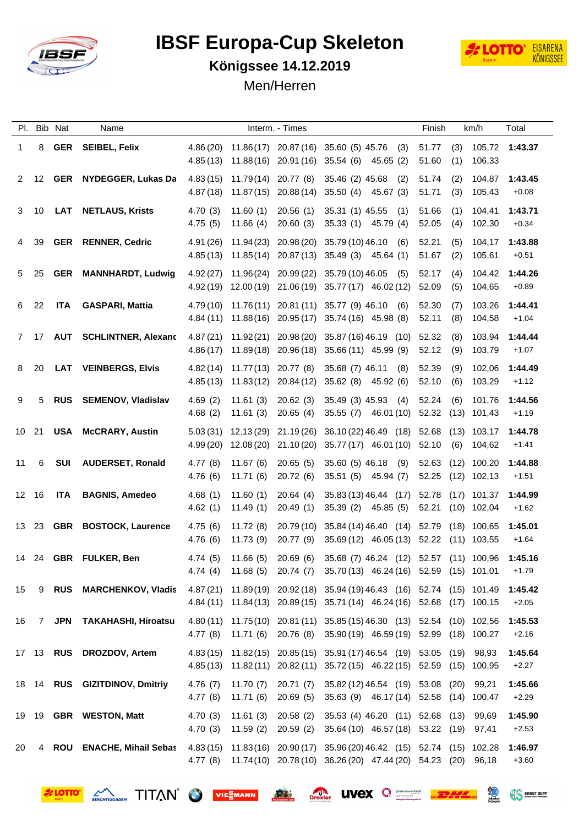

**OTTO** 

## **IBSF Europa-Cup Skeleton**<br> *V* Entroped 11.13.2010



**EXAMPLE SEPP** 

## **Königssee 14.12.2019**

Men/Herren

|       |       | Pl. Bib Nat | Name                            |                     |                                             | Interm. - Times        |                                                                                                                                                     | Finish         |            | km/h              | Total                                |
|-------|-------|-------------|---------------------------------|---------------------|---------------------------------------------|------------------------|-----------------------------------------------------------------------------------------------------------------------------------------------------|----------------|------------|-------------------|--------------------------------------|
| 1.    |       |             | 8 GER SEIBEL, Felix             |                     |                                             |                        | 4.86 (20) 11.86 (17) 20.87 (16) 35.60 (5) 45.76 (3)<br>4.85 (13) 11.88 (16) 20.91 (16) 35.54 (6) 45.65 (2)                                          | 51.77<br>51.60 | (1)        | 106,33            | $(3)$ 105,72 1:43.37                 |
|       |       |             | 2 12 GER NYDEGGER, Lukas Da     |                     |                                             |                        | 4.83 (15) 11.79 (14) 20.77 (8) 35.46 (2) 45.68 (2)<br>4.87 (18) 11.87 (15) 20.88 (14) 35.50 (4) 45.67 (3)                                           | 51.74<br>51.71 | (2)<br>(3) | 105,43            | 104,87 1:43.45<br>$+0.08$            |
| 3     | 10    |             | LAT NETLAUS, Krists             |                     | 4.70 (3) 11.60 (1)<br>$4.75(5)$ 11.66 (4)   |                        | 20.56 (1) 35.31 (1) 45.55 (1)<br>20.60 (3) 35.33 (1) 45.79 (4)                                                                                      | 51.66<br>52.05 | (1)<br>(4) | 104,41<br>102,30  | 1:43.71<br>$+0.34$                   |
| 4     | 39    |             | <b>GER RENNER, Cedric</b>       |                     |                                             |                        | 4.91 (26) 11.94 (23) 20.98 (20) 35.79 (10) 46.10 (6)<br>4.85 (13) 11.85 (14) 20.87 (13) 35.49 (3) 45.64 (1)                                         | 52.21<br>51.67 | (5)<br>(2) | 104,17<br>105,61  | 1:43.88<br>$+0.51$                   |
| 5     | 25    |             | <b>GER MANNHARDT, Ludwig</b>    |                     |                                             |                        | $4.92(27)$ $11.96(24)$ $20.99(22)$ $35.79(10)46.05$ (5)<br>4.92 (19) 12.00 (19) 21.06 (19) 35.77 (17) 46.02 (12) 52.09                              | 52.17          | (4)<br>(5) | 104,42<br>104,65  | 1:44.26<br>$+0.89$                   |
| 6     | 22    |             | ITA GASPARI, Mattia             |                     |                                             |                        | 4.79 (10) 11.76 (11) 20.81 (11) 35.77 (9) 46.10 (6)<br>4.84 (11) 11.88 (16) 20.95 (17) 35.74 (16) 45.98 (8)                                         | 52.30<br>52.11 | (7)<br>(8) | 103,26<br>104,58  | 1:44.41<br>$+1.04$                   |
|       |       |             | 7 17 AUT SCHLINTNER, Alexand    |                     |                                             |                        | 4.87 (21) 11.92 (21) 20.98 (20) 35.87 (16) 46.19 (10) 52.32<br>4.86 (17) 11.89 (18) 20.96 (18) 35.66 (11) 45.99 (9)                                 | 52.12          | (8)<br>(9) | 103,94<br>103.79  | 1:44.44<br>$+1.07$                   |
| 8     | 20    |             | <b>LAT VEINBERGS, Elvis</b>     |                     |                                             |                        | 4.82 (14) 11.77 (13) 20.77 (8) 35.68 (7) 46.11 (8)<br>4.85 (13) 11.83 (12) 20.84 (12) 35.62 (8) 45.92 (6)                                           | 52.39<br>52.10 | (9)<br>(6) | 102,06<br>103,29  | 1:44.49<br>$+1.12$                   |
| 9     | 5     |             | RUS SEMENOV, Vladislav          | 4.69 (2)<br>4.68(2) |                                             | 11.61 (3) 20.65 (4)    | 11.61 (3) 20.62 (3) 35.49 (3) 45.93 (4)<br>35.55 (7) 46.01 (10) 52.32 (13) 101,43                                                                   | 52.24          | (6)        |                   | 101,76 1:44.56<br>$+1.19$            |
|       |       |             | 10 21 USA McCRARY, Austin       |                     |                                             |                        | 5.03 (31) 12.13 (29) 21.19 (26) 36.10 (22) 46.49 (18) 52.68 (13) 103,17 1:44.78<br>4.99 (20) 12.08 (20) 21.10 (20) 35.77 (17) 46.01 (10) 52.10      |                | (6)        | 104,62            | $+1.41$                              |
| 11    | 6     |             | SUI AUDERSET, Ronald            |                     | $4.77(8)$ 11.67(6)<br>$4.76(6)$ 11.71 $(6)$ |                        | 20.65 (5) 35.60 (5) 46.18 (9)<br>20.72 (6) 35.51 (5) 45.94 (7)                                                                                      |                |            | 52.25 (12) 102,13 | 52.63 (12) 100,20 1:44.88<br>$+1.51$ |
|       | 12 16 |             | ITA BAGNIS, Amedeo              | 4.68(1)             | 11.60 (1)<br>$4.62(1)$ $11.49(1)$           | 20.64(4)<br>20.49 (1)  | 35.83 (13) 46.44 (17) 52.78 (17) 101,37 1:44.99<br>35.39 (2) 45.85 (5)                                                                              |                |            | 52.21 (10) 102,04 | $+1.62$                              |
|       |       |             | 13 23 GBR BOSTOCK, Laurence     | 4.75 (6)            | 11.72(8)<br>4.76 (6) 11.73 (9)              |                        | 20.79 (10) 35.84 (14) 46.40 (14) 52.79 (18) 100,65<br>20.77 (9) 35.69 (12) 46.05 (13) 52.22 (11) 103,55                                             |                |            |                   | 1:45.01<br>$+1.64$                   |
|       |       |             | 14 24 GBR FULKER, Ben           |                     |                                             |                        | 4.74 (5) 11.66 (5) 20.69 (6) 35.68 (7) 46.24 (12) 52.57 (11) 100,96 1:45.16<br>4.74 (4) 11.68 (5) 20.74 (7) 35.70 (13) 46.24 (16) 52.59 (15) 101,01 |                |            |                   | $+1.79$                              |
| 15    | 9     |             | RUS MARCHENKOV, Vladis          |                     |                                             |                        | 4.87 (21) 11.89 (19) 20.92 (18) 35.94 (19) 46.43 (16) 52.74 (15) 101,49<br>4.84 (11) 11.84 (13) 20.89 (15) 35.71 (14) 46.24 (16) 52.68 (17) 100,15  |                |            |                   | 1:45.42<br>$+2.05$                   |
| 16    | 7     |             | JPN TAKAHASHI, Hiroatsu         |                     |                                             |                        | 4.80 (11) 11.75 (10) 20.81 (11) 35.85 (15) 46.30 (13) 52.54 (10) 102,56<br>4.77 (8) 11.71 (6) 20.76 (8) 35.90 (19) 46.59 (19) 52.99 (18) 100,27     |                |            |                   | 1:45.53<br>$+2.16$                   |
|       |       |             | 17 13 RUS DROZDOV, Artem        |                     |                                             |                        | 4.83 (15) 11.82 (15) 20.85 (15) 35.91 (17) 46.54 (19) 53.05 (19)<br>4.85 (13) 11.82 (11) 20.82 (11) 35.72 (15) 46.22 (15) 52.59 (15) 100,95         |                |            | 98,93             | 1:45.64<br>$+2.27$                   |
|       |       |             | 18 14 RUS GIZITDINOV, Dmitriy   | 4.77(8)             | 4.76 (7) 11.70 (7)<br>11.71 (6)             | 20.71 (7)<br>20.69 (5) | 35.82 (12) 46.54 (19) 53.08 (20)<br>35.63 (9) 46.17 (14) 52.58 (14) 100,47                                                                          |                |            | 99,21             | 1:45.66<br>$+2.29$                   |
| 19 19 |       |             | <b>GBR</b> WESTON, Matt         | 4.70(3)             | 11.61 (3)<br>4.70 (3) 11.59 (2)             | 20.58 (2)              | 35.53 (4) 46.20 (11) 52.68 (13)<br>20.59 (2) 35.64 (10) 46.57 (18) 53.22 (19) 97,41                                                                 |                |            | 99,69             | 1:45.90<br>$+2.53$                   |
| 20    | 4     |             | <b>ROU</b> ENACHE, Mihail Sebas |                     |                                             |                        | 4.83 (15) 11.83 (16) 20.90 (17) 35.96 (20) 46.42 (15) 52.74 (15) 102,28<br>4.77 (8) 11.74 (10) 20.78 (10) 36.26 (20) 47.44 (20) 54.23 (20) 96,18    |                |            |                   | 1:46.97<br>$+3.60$                   |

SERCHTESCADEN TITAN O VIEWANN **ALL** Drexier **LIVEX** O **EXAMPLE 19**